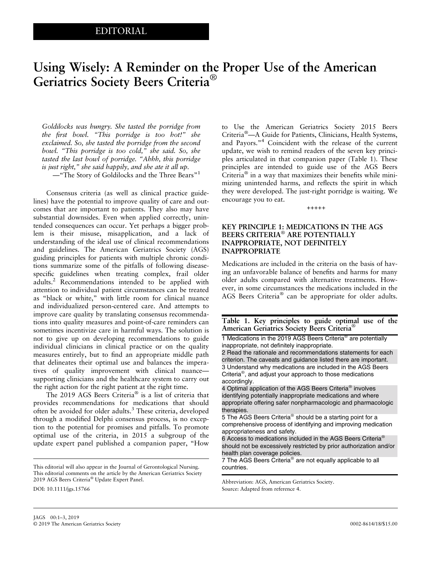# Using Wisely: A Reminder on the Proper Use of the American Geriatrics Society Beers Criteria®

Goldilocks was hungry. She tasted the porridge from the first bowl. "This porridge is too hot!" she exclaimed. So, she tasted the porridge from the second bowl. "This porridge is too cold," she said. So, she tasted the last bowl of porridge. "Ahhh, this porridge is just right," she said happily, and she ate it all up. —"The Story of Goldilocks and the Three Bears"<sup>1</sup>

Consensus criteria (as well as clinical practice guidelines) have the potential to improve quality of care and outcomes that are important to patients. They also may have substantial downsides. Even when applied correctly, unintended consequences can occur. Yet perhaps a bigger problem is their misuse, misapplication, and a lack of understanding of the ideal use of clinical recommendations and guidelines. The American Geriatrics Society (AGS) guiding principles for patients with multiple chronic conditions summarize some of the pitfalls of following diseasespecific guidelines when treating complex, frail older adults.2 Recommendations intended to be applied with attention to individual patient circumstances can be treated as "black or white," with little room for clinical nuance and individualized person-centered care. And attempts to improve care quality by translating consensus recommendations into quality measures and point-of-care reminders can sometimes incentivize care in harmful ways. The solution is not to give up on developing recommendations to guide individual clinicians in clinical practice or on the quality measures entirely, but to find an appropriate middle path that delineates their optimal use and balances the imperatives of quality improvement with clinical nuance supporting clinicians and the healthcare system to carry out the right action for the right patient at the right time.

The 2019 AGS Beers Criteria® is a list of criteria that provides recommendations for medications that should often be avoided for older adults.<sup>3</sup> These criteria, developed through a modified Delphi consensus process, is no exception to the potential for promises and pitfalls. To promote optimal use of the criteria, in 2015 a subgroup of the update expert panel published a companion paper, "How

DOI: 10.1111/jgs.15766

to Use the American Geriatrics Society 2015 Beers Criteria®—A Guide for Patients, Clinicians, Health Systems, and Payors."<sup>4</sup> Coincident with the release of the current update, we wish to remind readers of the seven key principles articulated in that companion paper (Table 1). These principles are intended to guide use of the AGS Beers Criteria® in a way that maximizes their benefits while minimizing unintended harms, and reflects the spirit in which they were developed. The just-right porridge is waiting. We encourage you to eat.

+++++

#### KEY PRINCIPLE 1: MEDICATIONS IN THE AGS BEERS CRITERIA® ARE POTENTIALLY INAPPROPRIATE, NOT DEFINITELY INAPPROPRIATE

Medications are included in the criteria on the basis of having an unfavorable balance of benefits and harms for many older adults compared with alternative treatments. However, in some circumstances the medications included in the AGS Beers Criteria® can be appropriate for older adults.

#### Table 1. Key principles to guide optimal use of the American Geriatrics Society Beers Criteria®

1 Medications in the 2019 AGS Beers Criteria® are potentially inappropriate, not definitely inappropriate.

2 Read the rationale and recommendations statements for each criterion. The caveats and guidance listed there are important. 3 Understand why medications are included in the AGS Beers Criteria®, and adjust your approach to those medications accordingly.

4 Optimal application of the AGS Beers Criteria® involves identifying potentially inappropriate medications and where appropriate offering safer nonpharmacologic and pharmacologic therapies.

5 The AGS Beers Criteria<sup>®</sup> should be a starting point for a comprehensive process of identifying and improving medication appropriateness and safety.

6 Access to medications included in the AGS Beers Criteria® should not be excessively restricted by prior authorization and/or health plan coverage policies.

7 The AGS Beers Criteria<sup>®</sup> are not equally applicable to all countries.

Abbreviation: AGS, American Geriatrics Society. Source: Adapted from reference 4.

This editorial will also appear in the Journal of Gerontological Nursing. This editorial comments on the article by the [American Geriatrics Society](https://doi.org/10.1111/jgs.15767) [2019](https://doi.org/10.1111/jgs.15767) [AGS](https://doi.org/10.1111/jgs.15767) [Beers](https://doi.org/10.1111/jgs.15767) [Criteria](https://doi.org/10.1111/jgs.15767)® [Update Expert Panel.](https://doi.org/10.1111/jgs.15767)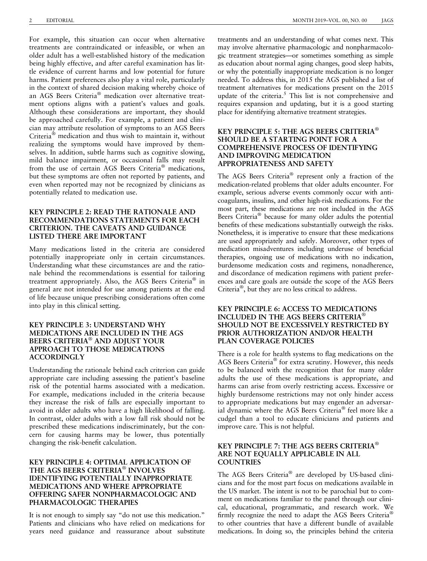For example, this situation can occur when alternative treatments are contraindicated or infeasible, or when an older adult has a well-established history of the medication being highly effective, and after careful examination has little evidence of current harms and low potential for future harms. Patient preferences also play a vital role, particularly in the context of shared decision making whereby choice of an AGS Beers Criteria® medication over alternative treatment options aligns with a patient's values and goals. Although these considerations are important, they should be approached carefully. For example, a patient and clinician may attribute resolution of symptoms to an AGS Beers Criteria® medication and thus wish to maintain it, without realizing the symptoms would have improved by themselves. In addition, subtle harms such as cognitive slowing, mild balance impairment, or occasional falls may result from the use of certain AGS Beers Criteria® medications, but these symptoms are often not reported by patients, and even when reported may not be recognized by clinicians as potentially related to medication use.

# KEY PRINCIPLE 2: READ THE RATIONALE AND RECOMMENDATIONS STATEMENTS FOR EACH CRITERION. THE CAVEATS AND GUIDANCE LISTED THERE ARE IMPORTANT

Many medications listed in the criteria are considered potentially inappropriate only in certain circumstances. Understanding what these circumstances are and the rationale behind the recommendations is essential for tailoring treatment appropriately. Also, the AGS Beers Criteria® in general are not intended for use among patients at the end of life because unique prescribing considerations often come into play in this clinical setting.

# KEY PRINCIPLE 3: UNDERSTAND WHY MEDICATIONS ARE INCLUDED IN THE AGS BEERS CRITERIA® AND ADJUST YOUR APPROACH TO THOSE MEDICATIONS ACCORDINGLY

Understanding the rationale behind each criterion can guide appropriate care including assessing the patient's baseline risk of the potential harms associated with a medication. For example, medications included in the criteria because they increase the risk of falls are especially important to avoid in older adults who have a high likelihood of falling. In contrast, older adults with a low fall risk should not be prescribed these medications indiscriminately, but the concern for causing harms may be lower, thus potentially changing the risk-benefit calculation.

# KEY PRINCIPLE 4: OPTIMAL APPLICATION OF THE AGS BEERS CRITERIA® INVOLVES IDENTIFYING POTENTIALLY INAPPROPRIATE MEDICATIONS AND WHERE APPROPRIATE OFFERING SAFER NONPHARMACOLOGIC AND PHARMACOLOGIC THERAPIES

It is not enough to simply say "do not use this medication." Patients and clinicians who have relied on medications for years need guidance and reassurance about substitute treatments and an understanding of what comes next. This may involve alternative pharmacologic and nonpharmacologic treatment strategies—or sometimes something as simple as education about normal aging changes, good sleep habits, or why the potentially inappropriate medication is no longer needed. To address this, in 2015 the AGS published a list of treatment alternatives for medications present on the 2015 update of the criteria.<sup>5</sup> This list is not comprehensive and requires expansion and updating, but it is a good starting place for identifying alternative treatment strategies.

# KEY PRINCIPLE 5: THE AGS BEERS CRITERIA® SHOULD BE A STARTING POINT FOR A COMPREHENSIVE PROCESS OF IDENTIFYING AND IMPROVING MEDICATION APPROPRIATENESS AND SAFETY

The AGS Beers Criteria® represent only a fraction of the medication-related problems that older adults encounter. For example, serious adverse events commonly occur with anticoagulants, insulins, and other high-risk medications. For the most part, these medications are not included in the AGS Beers Criteria® because for many older adults the potential benefits of these medications substantially outweigh the risks. Nonetheless, it is imperative to ensure that these medications are used appropriately and safely. Moreover, other types of medication misadventures including underuse of beneficial therapies, ongoing use of medications with no indication, burdensome medication costs and regimens, nonadherence, and discordance of medication regimens with patient preferences and care goals are outside the scope of the AGS Beers Criteria®, but they are no less critical to address.

# KEY PRINCIPLE 6: ACCESS TO MEDICATIONS INCLUDED IN THE AGS BEERS CRITERIA® SHOULD NOT BE EXCESSIVELY RESTRICTED BY PRIOR AUTHORIZATION AND/OR HEALTH PLAN COVERAGE POLICIES

There is a role for health systems to flag medications on the AGS Beers Criteria® for extra scrutiny. However, this needs to be balanced with the recognition that for many older adults the use of these medications is appropriate, and harms can arise from overly restricting access. Excessive or highly burdensome restrictions may not only hinder access to appropriate medications but may engender an adversarial dynamic where the AGS Beers Criteria® feel more like a cudgel than a tool to educate clinicians and patients and improve care. This is not helpful.

### KEY PRINCIPLE 7: THE AGS BEERS CRITERIA® ARE NOT EQUALLY APPLICABLE IN ALL **COUNTRIES**

The AGS Beers Criteria® are developed by US-based clinicians and for the most part focus on medications available in the US market. The intent is not to be parochial but to comment on medications familiar to the panel through our clinical, educational, programmatic, and research work. We firmly recognize the need to adapt the AGS Beers Criteria® to other countries that have a different bundle of available medications. In doing so, the principles behind the criteria